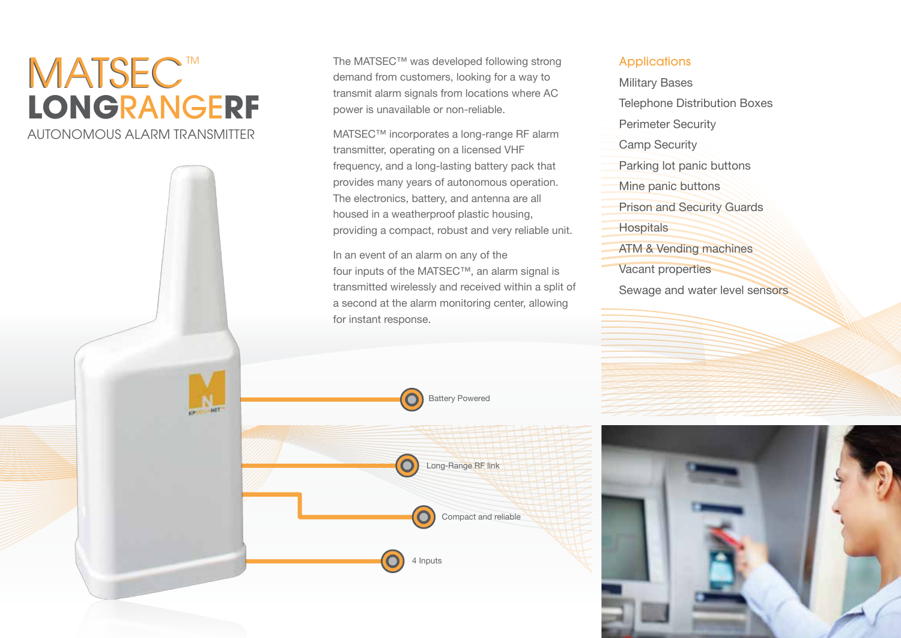# **LONG**RANGE**RF**  AUTONOMOUS ALARM TRANSMITTER MATSEC™ WATSEC™ was developed following strong<br>demand from customers, looking for a way to

demand from customers, looking for a way to transmit alarm signals from locations where AC power is unavailable or non-reliable.

MATSEC™ incorporates a long-range RF alarm transmitter, operating on a licensed VHF frequency, and a long-lasting battery pack that provides many years of autonomous operation. The electronics, battery, and antenna are all housed in a weatherproof plastic housing, providing a compact, robust and very reliable unit.

In an event of an alarm on any of the four inputs of the MATSEC™, an alarm signal is transmitted wirelessly and received within a split of a second at the alarm monitoring center, allowing for instant response.

#### **Applications**

- Military Bases Telephone Distribution Boxes Perimeter Security Camp Security Parking lot panic buttons Mine panic buttons Prison and Security Guards
- **Hospitals**
- ATM & Vending machines
- Vacant properties
- Sewage and water level sensors



Long-Range RF link

4 Inputs

Compact and reliable